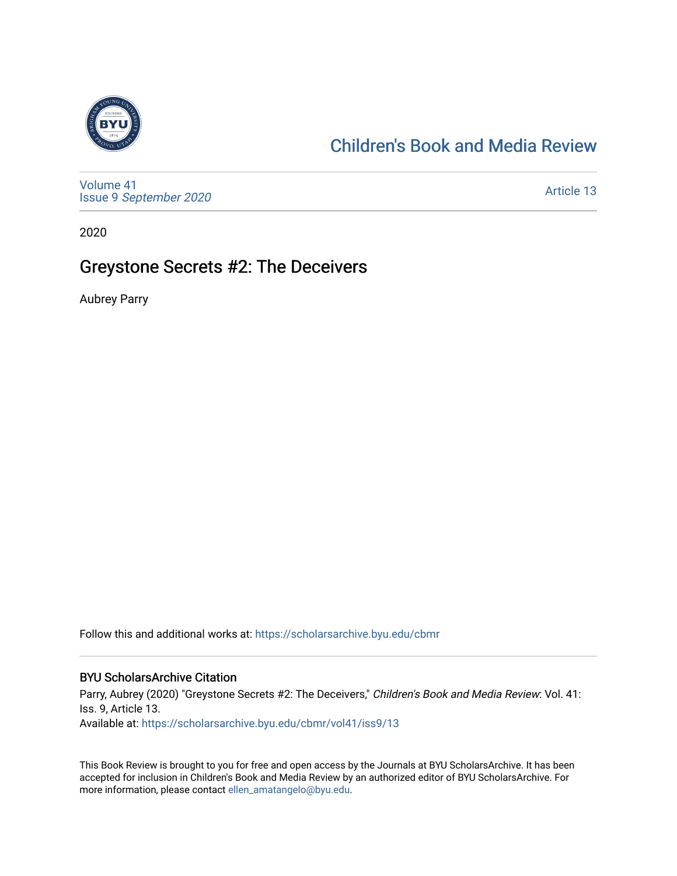

### [Children's Book and Media Review](https://scholarsarchive.byu.edu/cbmr)

[Volume 41](https://scholarsarchive.byu.edu/cbmr/vol41) Issue 9 [September 2020](https://scholarsarchive.byu.edu/cbmr/vol41/iss9) 

[Article 13](https://scholarsarchive.byu.edu/cbmr/vol41/iss9/13) 

2020

#### Greystone Secrets #2: The Deceivers

Aubrey Parry

Follow this and additional works at: [https://scholarsarchive.byu.edu/cbmr](https://scholarsarchive.byu.edu/cbmr?utm_source=scholarsarchive.byu.edu%2Fcbmr%2Fvol41%2Fiss9%2F13&utm_medium=PDF&utm_campaign=PDFCoverPages) 

#### BYU ScholarsArchive Citation

Parry, Aubrey (2020) "Greystone Secrets #2: The Deceivers," Children's Book and Media Review: Vol. 41: Iss. 9, Article 13. Available at: [https://scholarsarchive.byu.edu/cbmr/vol41/iss9/13](https://scholarsarchive.byu.edu/cbmr/vol41/iss9/13?utm_source=scholarsarchive.byu.edu%2Fcbmr%2Fvol41%2Fiss9%2F13&utm_medium=PDF&utm_campaign=PDFCoverPages)

This Book Review is brought to you for free and open access by the Journals at BYU ScholarsArchive. It has been accepted for inclusion in Children's Book and Media Review by an authorized editor of BYU ScholarsArchive. For more information, please contact [ellen\\_amatangelo@byu.edu.](mailto:ellen_amatangelo@byu.edu)